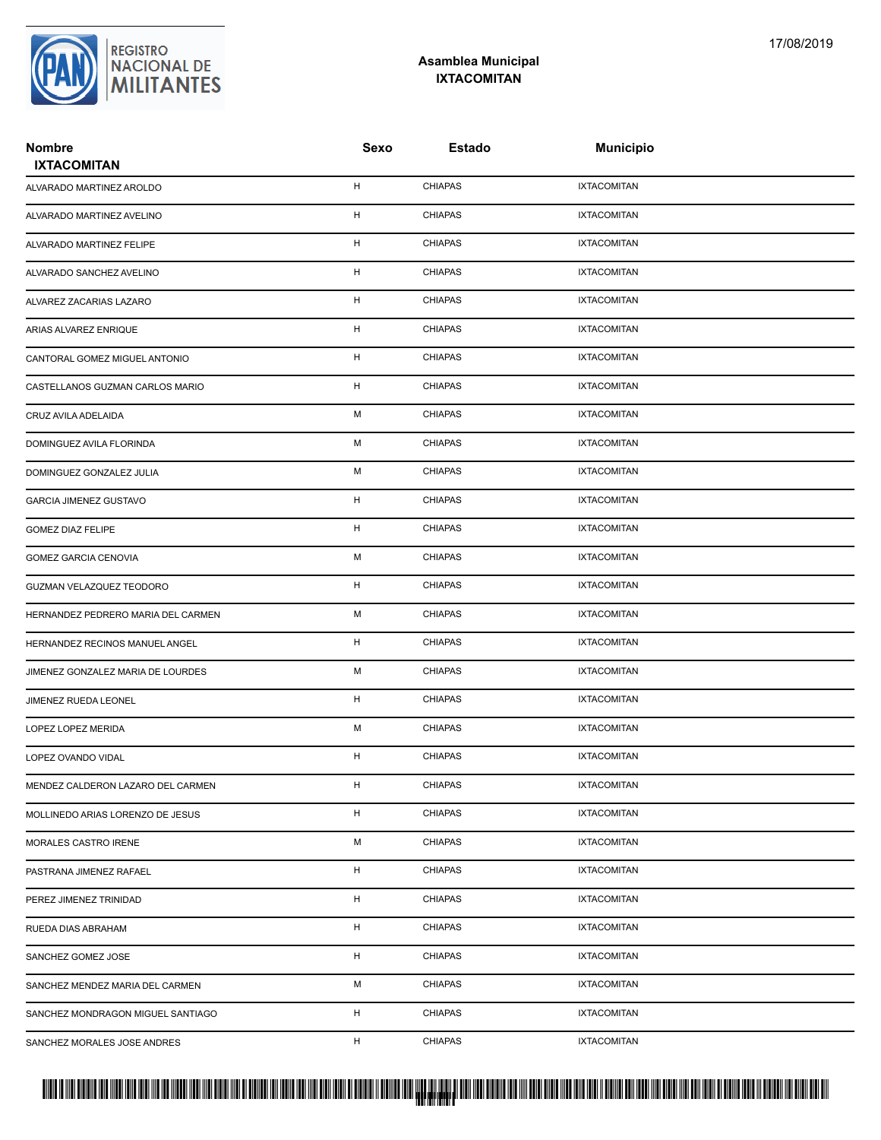## REGISTRO<br>|NACIONAL DE<br>|**MILITANTES**

## **Asamblea Municipal IXTACOMITAN**

| <b>Nombre</b><br><b>IXTACOMITAN</b> | <b>Sexo</b> | <b>Estado</b>  | <b>Municipio</b>   |  |
|-------------------------------------|-------------|----------------|--------------------|--|
| ALVARADO MARTINEZ AROLDO            | н           | <b>CHIAPAS</b> | <b>IXTACOMITAN</b> |  |
| ALVARADO MARTINEZ AVELINO           | н           | <b>CHIAPAS</b> | <b>IXTACOMITAN</b> |  |
| ALVARADO MARTINEZ FELIPE            | н           | <b>CHIAPAS</b> | <b>IXTACOMITAN</b> |  |
| ALVARADO SANCHEZ AVELINO            | н           | <b>CHIAPAS</b> | <b>IXTACOMITAN</b> |  |
| ALVAREZ ZACARIAS LAZARO             | н           | <b>CHIAPAS</b> | <b>IXTACOMITAN</b> |  |
| ARIAS ALVAREZ ENRIQUE               | н           | <b>CHIAPAS</b> | <b>IXTACOMITAN</b> |  |
| CANTORAL GOMEZ MIGUEL ANTONIO       | н           | <b>CHIAPAS</b> | <b>IXTACOMITAN</b> |  |
| CASTELLANOS GUZMAN CARLOS MARIO     | н           | <b>CHIAPAS</b> | <b>IXTACOMITAN</b> |  |
| CRUZ AVILA ADELAIDA                 | М           | <b>CHIAPAS</b> | <b>IXTACOMITAN</b> |  |
| DOMINGUEZ AVILA FLORINDA            | М           | <b>CHIAPAS</b> | <b>IXTACOMITAN</b> |  |
| DOMINGUEZ GONZALEZ JULIA            | М           | <b>CHIAPAS</b> | <b>IXTACOMITAN</b> |  |
| <b>GARCIA JIMENEZ GUSTAVO</b>       | н           | <b>CHIAPAS</b> | <b>IXTACOMITAN</b> |  |
| <b>GOMEZ DIAZ FELIPE</b>            | н           | <b>CHIAPAS</b> | <b>IXTACOMITAN</b> |  |
| GOMEZ GARCIA CENOVIA                | М           | <b>CHIAPAS</b> | <b>IXTACOMITAN</b> |  |
| GUZMAN VELAZQUEZ TEODORO            | н           | <b>CHIAPAS</b> | <b>IXTACOMITAN</b> |  |
| HERNANDEZ PEDRERO MARIA DEL CARMEN  | М           | <b>CHIAPAS</b> | <b>IXTACOMITAN</b> |  |
| HERNANDEZ RECINOS MANUEL ANGEL      | н           | <b>CHIAPAS</b> | <b>IXTACOMITAN</b> |  |
| JIMENEZ GONZALEZ MARIA DE LOURDES   | М           | <b>CHIAPAS</b> | <b>IXTACOMITAN</b> |  |
| JIMENEZ RUEDA LEONEL                | н           | <b>CHIAPAS</b> | <b>IXTACOMITAN</b> |  |
| LOPEZ LOPEZ MERIDA                  | М           | <b>CHIAPAS</b> | <b>IXTACOMITAN</b> |  |
| LOPEZ OVANDO VIDAL                  | н           | <b>CHIAPAS</b> | <b>IXTACOMITAN</b> |  |
| MENDEZ CALDERON LAZARO DEL CARMEN   | H           | CHIAPAS        | <b>IXTACOMITAN</b> |  |
| MOLLINEDO ARIAS LORENZO DE JESUS    | H           | <b>CHIAPAS</b> | <b>IXTACOMITAN</b> |  |
| MORALES CASTRO IRENE                | M           | <b>CHIAPAS</b> | <b>IXTACOMITAN</b> |  |
| PASTRANA JIMENEZ RAFAEL             | H           | <b>CHIAPAS</b> | <b>IXTACOMITAN</b> |  |
| PEREZ JIMENEZ TRINIDAD              | H           | <b>CHIAPAS</b> | <b>IXTACOMITAN</b> |  |
| RUEDA DIAS ABRAHAM                  | H           | <b>CHIAPAS</b> | <b>IXTACOMITAN</b> |  |
| SANCHEZ GOMEZ JOSE                  | H           | <b>CHIAPAS</b> | <b>IXTACOMITAN</b> |  |
| SANCHEZ MENDEZ MARIA DEL CARMEN     | М           | <b>CHIAPAS</b> | <b>IXTACOMITAN</b> |  |
| SANCHEZ MONDRAGON MIGUEL SANTIAGO   | н           | <b>CHIAPAS</b> | <b>IXTACOMITAN</b> |  |
| SANCHEZ MORALES JOSE ANDRES         | H           | <b>CHIAPAS</b> | <b>IXTACOMITAN</b> |  |

##